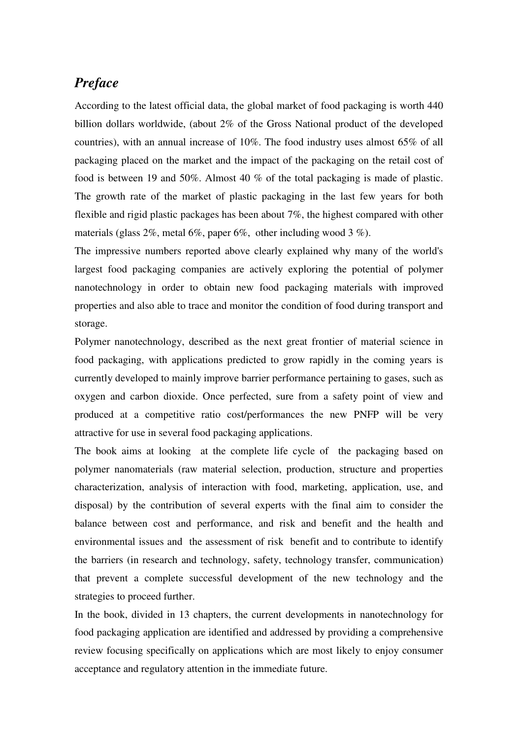## *Preface*

According to the latest official data, the global market of food packaging is worth 440 billion dollars worldwide, (about 2% of the Gross National product of the developed countries), with an annual increase of 10%. The food industry uses almost 65% of all packaging placed on the market and the impact of the packaging on the retail cost of food is between 19 and 50%. Almost 40 % of the total packaging is made of plastic. The growth rate of the market of plastic packaging in the last few years for both flexible and rigid plastic packages has been about 7%, the highest compared with other materials (glass  $2\%$ , metal  $6\%$ , paper  $6\%$ , other including wood  $3\%$ ).

The impressive numbers reported above clearly explained why many of the world's largest food packaging companies are actively exploring the potential of polymer nanotechnology in order to obtain new food packaging materials with improved properties and also able to trace and monitor the condition of food during transport and storage.

Polymer nanotechnology, described as the next great frontier of material science in food packaging, with applications predicted to grow rapidly in the coming years is currently developed to mainly improve barrier performance pertaining to gases, such as oxygen and carbon dioxide. Once perfected, sure from a safety point of view and produced at a competitive ratio cost/performances the new PNFP will be very attractive for use in several food packaging applications.

The book aims at looking at the complete life cycle of the packaging based on polymer nanomaterials (raw material selection, production, structure and properties characterization, analysis of interaction with food, marketing, application, use, and disposal) by the contribution of several experts with the final aim to consider the balance between cost and performance, and risk and benefit and the health and environmental issues and the assessment of risk benefit and to contribute to identify the barriers (in research and technology, safety, technology transfer, communication) that prevent a complete successful development of the new technology and the strategies to proceed further.

In the book, divided in 13 chapters, the current developments in nanotechnology for food packaging application are identified and addressed by providing a comprehensive review focusing specifically on applications which are most likely to enjoy consumer acceptance and regulatory attention in the immediate future.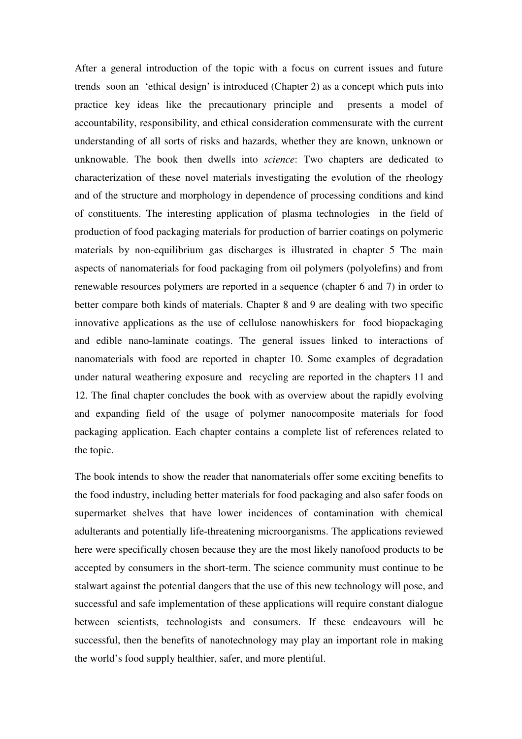After a general introduction of the topic with a focus on current issues and future trends soon an 'ethical design' is introduced (Chapter 2) as a concept which puts into practice key ideas like the precautionary principle and presents a model of accountability, responsibility, and ethical consideration commensurate with the current understanding of all sorts of risks and hazards, whether they are known, unknown or unknowable. The book then dwells into *science*: Two chapters are dedicated to characterization of these novel materials investigating the evolution of the rheology and of the structure and morphology in dependence of processing conditions and kind of constituents. The interesting application of plasma technologies in the field of production of food packaging materials for production of barrier coatings on polymeric materials by non-equilibrium gas discharges is illustrated in chapter 5 The main aspects of nanomaterials for food packaging from oil polymers (polyolefins) and from renewable resources polymers are reported in a sequence (chapter 6 and 7) in order to better compare both kinds of materials. Chapter 8 and 9 are dealing with two specific innovative applications as the use of cellulose nanowhiskers for food biopackaging and edible nano-laminate coatings. The general issues linked to interactions of nanomaterials with food are reported in chapter 10. Some examples of degradation under natural weathering exposure and recycling are reported in the chapters 11 and 12. The final chapter concludes the book with as overview about the rapidly evolving and expanding field of the usage of polymer nanocomposite materials for food packaging application. Each chapter contains a complete list of references related to the topic.

The book intends to show the reader that nanomaterials offer some exciting benefits to the food industry, including better materials for food packaging and also safer foods on supermarket shelves that have lower incidences of contamination with chemical adulterants and potentially life-threatening microorganisms. The applications reviewed here were specifically chosen because they are the most likely nanofood products to be accepted by consumers in the short-term. The science community must continue to be stalwart against the potential dangers that the use of this new technology will pose, and successful and safe implementation of these applications will require constant dialogue between scientists, technologists and consumers. If these endeavours will be successful, then the benefits of nanotechnology may play an important role in making the world's food supply healthier, safer, and more plentiful.